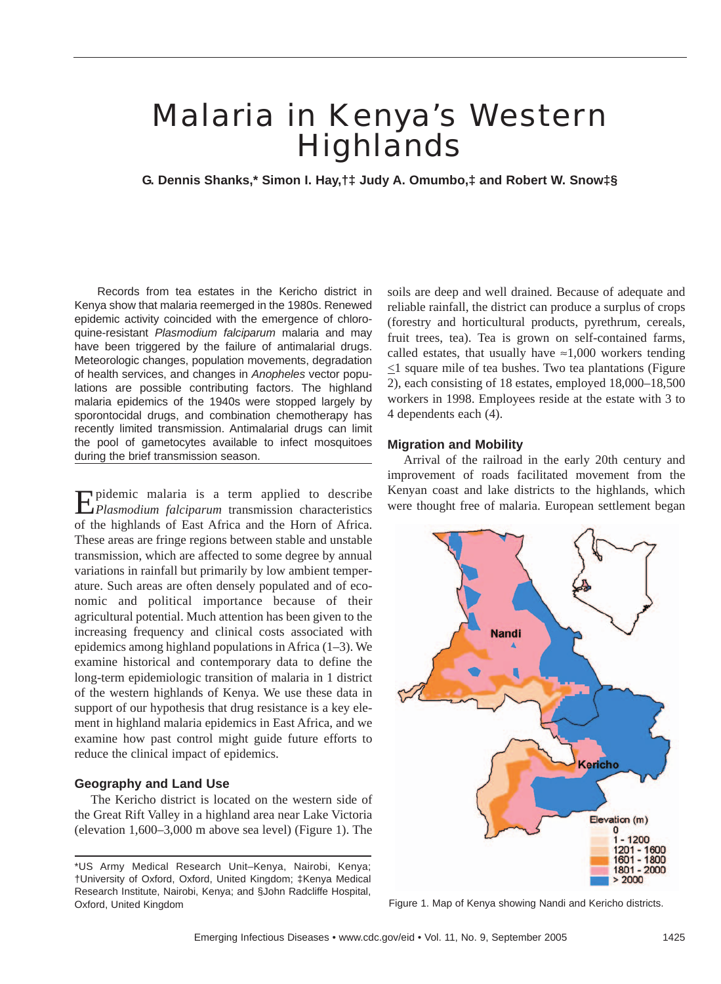# Malaria in Kenya's Western **Highlands**

**G. Dennis Shanks,\* Simon I. Hay,†‡ Judy A. Omumbo,‡ and Robert W. Snow‡§**

Records from tea estates in the Kericho district in Kenya show that malaria reemerged in the 1980s. Renewed epidemic activity coincided with the emergence of chloroquine-resistant *Plasmodium falciparum* malaria and may have been triggered by the failure of antimalarial drugs. Meteorologic changes, population movements, degradation of health services, and changes in *Anopheles* vector populations are possible contributing factors. The highland malaria epidemics of the 1940s were stopped largely by sporontocidal drugs, and combination chemotherapy has recently limited transmission. Antimalarial drugs can limit the pool of gametocytes available to infect mosquitoes during the brief transmission season.

**Epidemic malaria is a term applied to describe** *Plasmodium falciparum* transmission characteristics of the highlands of East Africa and the Horn of Africa. These areas are fringe regions between stable and unstable transmission, which are affected to some degree by annual variations in rainfall but primarily by low ambient temperature. Such areas are often densely populated and of economic and political importance because of their agricultural potential. Much attention has been given to the increasing frequency and clinical costs associated with epidemics among highland populations in Africa (1–3). We examine historical and contemporary data to define the long-term epidemiologic transition of malaria in 1 district of the western highlands of Kenya. We use these data in support of our hypothesis that drug resistance is a key element in highland malaria epidemics in East Africa, and we examine how past control might guide future efforts to reduce the clinical impact of epidemics.

## **Geography and Land Use**

The Kericho district is located on the western side of the Great Rift Valley in a highland area near Lake Victoria (elevation 1,600–3,000 m above sea level) (Figure 1). The

soils are deep and well drained. Because of adequate and reliable rainfall, the district can produce a surplus of crops (forestry and horticultural products, pyrethrum, cereals, fruit trees, tea). Tea is grown on self-contained farms, called estates, that usually have  $\approx 1,000$  workers tending  $\leq$ 1 square mile of tea bushes. Two tea plantations (Figure 2), each consisting of 18 estates, employed 18,000–18,500 workers in 1998. Employees reside at the estate with 3 to 4 dependents each (4).

#### **Migration and Mobility**

Arrival of the railroad in the early 20th century and improvement of roads facilitated movement from the Kenyan coast and lake districts to the highlands, which were thought free of malaria. European settlement began



<sup>\*</sup>US Army Medical Research Unit–Kenya, Nairobi, Kenya; †University of Oxford, Oxford, United Kingdom; ‡Kenya Medical Research Institute, Nairobi, Kenya; and §John Radcliffe Hospital, Oxford, United Kingdom Figure 1. Map of Kenya showing Nandi and Kericho districts.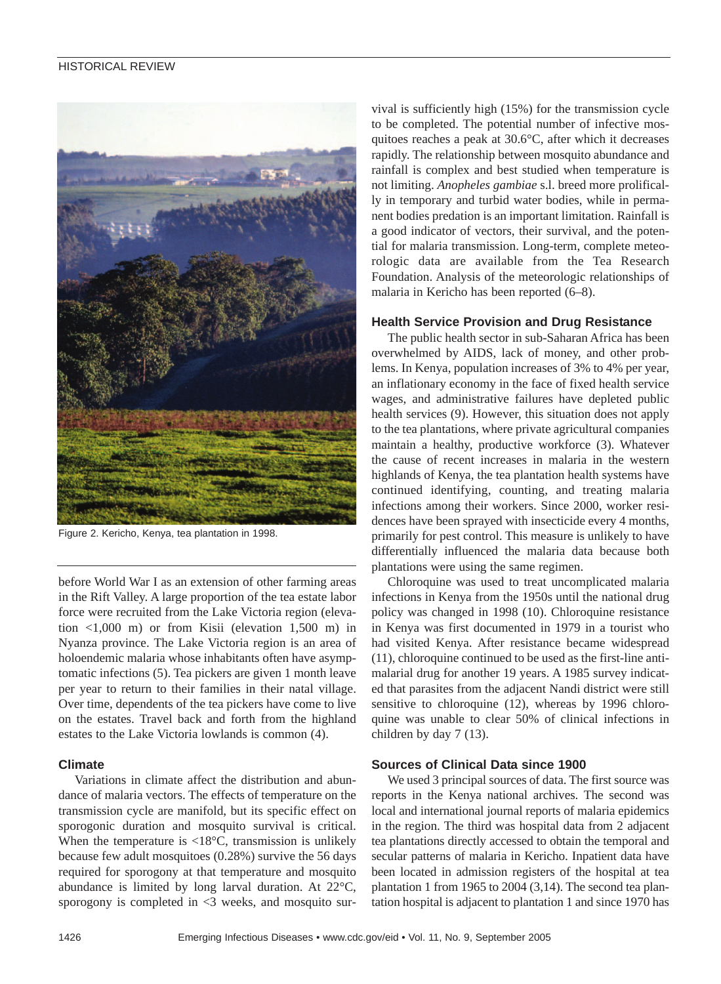

Figure 2. Kericho, Kenya, tea plantation in 1998.

before World War I as an extension of other farming areas in the Rift Valley. A large proportion of the tea estate labor force were recruited from the Lake Victoria region (elevation  $\langle 1,000 \rangle$  m) or from Kisii (elevation 1,500 m) in Nyanza province. The Lake Victoria region is an area of holoendemic malaria whose inhabitants often have asymptomatic infections (5). Tea pickers are given 1 month leave per year to return to their families in their natal village. Over time, dependents of the tea pickers have come to live on the estates. Travel back and forth from the highland estates to the Lake Victoria lowlands is common (4).

## **Climate**

Variations in climate affect the distribution and abundance of malaria vectors. The effects of temperature on the transmission cycle are manifold, but its specific effect on sporogonic duration and mosquito survival is critical. When the temperature is  $<18^{\circ}C$ , transmission is unlikely because few adult mosquitoes (0.28%) survive the 56 days required for sporogony at that temperature and mosquito abundance is limited by long larval duration. At 22°C, sporogony is completed in <3 weeks, and mosquito survival is sufficiently high (15%) for the transmission cycle to be completed. The potential number of infective mosquitoes reaches a peak at 30.6°C, after which it decreases rapidly. The relationship between mosquito abundance and rainfall is complex and best studied when temperature is not limiting. *Anopheles gambiae* s.l. breed more prolifically in temporary and turbid water bodies, while in permanent bodies predation is an important limitation. Rainfall is a good indicator of vectors, their survival, and the potential for malaria transmission. Long-term, complete meteorologic data are available from the Tea Research Foundation. Analysis of the meteorologic relationships of malaria in Kericho has been reported (6–8).

## **Health Service Provision and Drug Resistance**

The public health sector in sub-Saharan Africa has been overwhelmed by AIDS, lack of money, and other problems. In Kenya, population increases of 3% to 4% per year, an inflationary economy in the face of fixed health service wages, and administrative failures have depleted public health services (9). However, this situation does not apply to the tea plantations, where private agricultural companies maintain a healthy, productive workforce (3). Whatever the cause of recent increases in malaria in the western highlands of Kenya, the tea plantation health systems have continued identifying, counting, and treating malaria infections among their workers. Since 2000, worker residences have been sprayed with insecticide every 4 months, primarily for pest control. This measure is unlikely to have differentially influenced the malaria data because both plantations were using the same regimen.

Chloroquine was used to treat uncomplicated malaria infections in Kenya from the 1950s until the national drug policy was changed in 1998 (10). Chloroquine resistance in Kenya was first documented in 1979 in a tourist who had visited Kenya. After resistance became widespread (11), chloroquine continued to be used as the first-line antimalarial drug for another 19 years. A 1985 survey indicated that parasites from the adjacent Nandi district were still sensitive to chloroquine (12), whereas by 1996 chloroquine was unable to clear 50% of clinical infections in children by day 7 (13).

## **Sources of Clinical Data since 1900**

We used 3 principal sources of data. The first source was reports in the Kenya national archives. The second was local and international journal reports of malaria epidemics in the region. The third was hospital data from 2 adjacent tea plantations directly accessed to obtain the temporal and secular patterns of malaria in Kericho. Inpatient data have been located in admission registers of the hospital at tea plantation 1 from 1965 to 2004 (3,14). The second tea plantation hospital is adjacent to plantation 1 and since 1970 has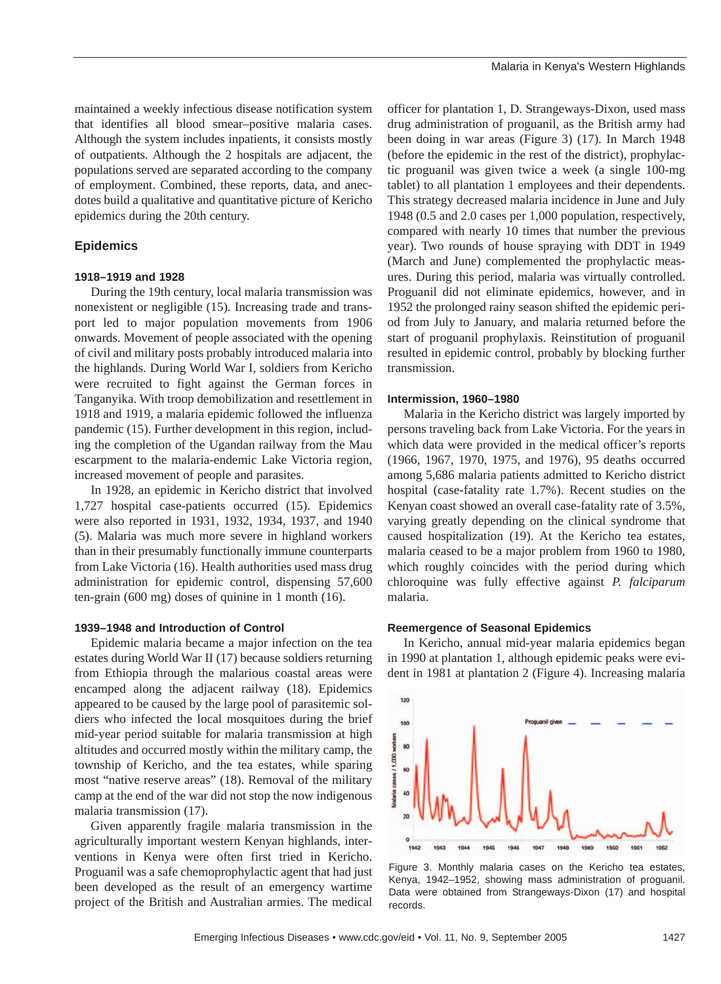maintained a weekly infectious disease notification system that identifies all blood smear–positive malaria cases. Although the system includes inpatients, it consists mostly of outpatients. Although the 2 hospitals are adjacent, the populations served are separated according to the company of employment. Combined, these reports, data, and anecdotes build a qualitative and quantitative picture of Kericho epidemics during the 20th century.

## **Epidemics**

## **1918–1919 and 1928**

During the 19th century, local malaria transmission was nonexistent or negligible (15). Increasing trade and transport led to major population movements from 1906 onwards. Movement of people associated with the opening of civil and military posts probably introduced malaria into the highlands. During World War I, soldiers from Kericho were recruited to fight against the German forces in Tanganyika. With troop demobilization and resettlement in 1918 and 1919, a malaria epidemic followed the influenza pandemic (15). Further development in this region, including the completion of the Ugandan railway from the Mau escarpment to the malaria-endemic Lake Victoria region, increased movement of people and parasites.

In 1928, an epidemic in Kericho district that involved 1,727 hospital case-patients occurred (15). Epidemics were also reported in 1931, 1932, 1934, 1937, and 1940 (5). Malaria was much more severe in highland workers than in their presumably functionally immune counterparts from Lake Victoria (16). Health authorities used mass drug administration for epidemic control, dispensing 57,600 ten-grain (600 mg) doses of quinine in 1 month (16).

### **1939–1948 and Introduction of Control**

Epidemic malaria became a major infection on the tea estates during World War II (17) because soldiers returning from Ethiopia through the malarious coastal areas were encamped along the adjacent railway (18). Epidemics appeared to be caused by the large pool of parasitemic soldiers who infected the local mosquitoes during the brief mid-year period suitable for malaria transmission at high altitudes and occurred mostly within the military camp, the township of Kericho, and the tea estates, while sparing most "native reserve areas" (18). Removal of the military camp at the end of the war did not stop the now indigenous malaria transmission (17).

Given apparently fragile malaria transmission in the agriculturally important western Kenyan highlands, interventions in Kenya were often first tried in Kericho. Proguanil was a safe chemoprophylactic agent that had just been developed as the result of an emergency wartime project of the British and Australian armies. The medical

officer for plantation 1, D. Strangeways-Dixon, used mass drug administration of proguanil, as the British army had been doing in war areas (Figure 3) (17). In March 1948 (before the epidemic in the rest of the district), prophylactic proguanil was given twice a week (a single 100-mg tablet) to all plantation 1 employees and their dependents. This strategy decreased malaria incidence in June and July 1948 (0.5 and 2.0 cases per 1,000 population, respectively, compared with nearly 10 times that number the previous year). Two rounds of house spraying with DDT in 1949 (March and June) complemented the prophylactic measures. During this period, malaria was virtually controlled. Proguanil did not eliminate epidemics, however, and in 1952 the prolonged rainy season shifted the epidemic period from July to January, and malaria returned before the start of proguanil prophylaxis. Reinstitution of proguanil resulted in epidemic control, probably by blocking further transmission.

#### **Intermission, 1960–1980**

Malaria in the Kericho district was largely imported by persons traveling back from Lake Victoria. For the years in which data were provided in the medical officer's reports (1966, 1967, 1970, 1975, and 1976), 95 deaths occurred among 5,686 malaria patients admitted to Kericho district hospital (case-fatality rate 1.7%). Recent studies on the Kenyan coast showed an overall case-fatality rate of 3.5%, varying greatly depending on the clinical syndrome that caused hospitalization (19). At the Kericho tea estates, malaria ceased to be a major problem from 1960 to 1980, which roughly coincides with the period during which chloroquine was fully effective against *P. falciparum* malaria.

#### **Reemergence of Seasonal Epidemics**

In Kericho, annual mid-year malaria epidemics began in 1990 at plantation 1, although epidemic peaks were evident in 1981 at plantation 2 (Figure 4). Increasing malaria



Figure 3. Monthly malaria cases on the Kericho tea estates, Kenya, 1942–1952, showing mass administration of proguanil. Data were obtained from Strangeways-Dixon (17) and hospital records.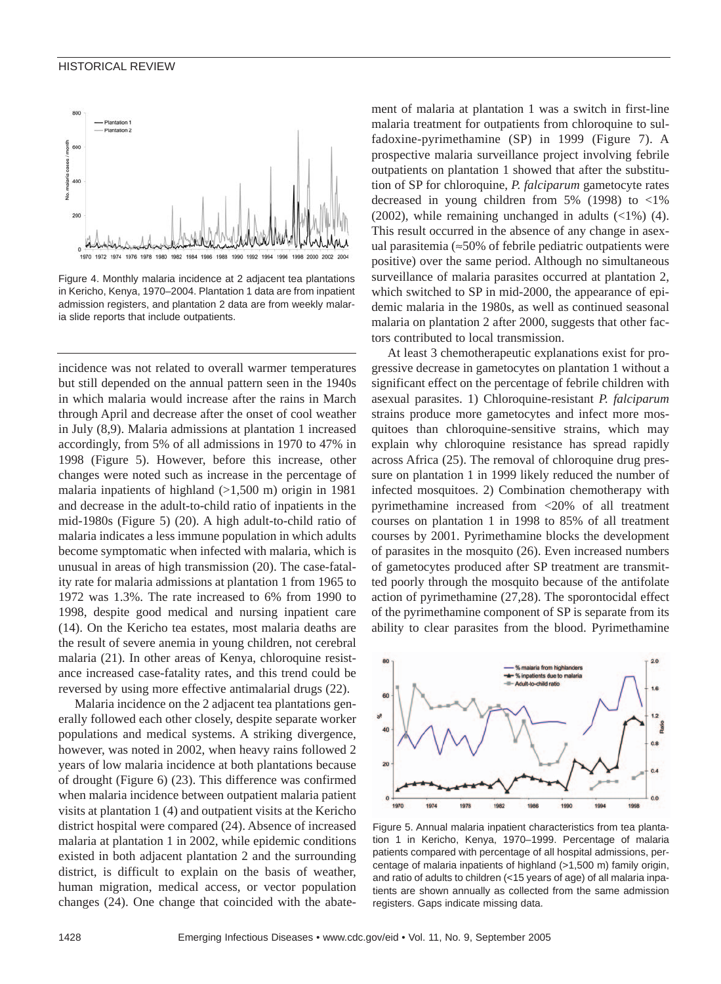

Figure 4. Monthly malaria incidence at 2 adjacent tea plantations in Kericho, Kenya, 1970–2004. Plantation 1 data are from inpatient admission registers, and plantation 2 data are from weekly malaria slide reports that include outpatients.

incidence was not related to overall warmer temperatures but still depended on the annual pattern seen in the 1940s in which malaria would increase after the rains in March through April and decrease after the onset of cool weather in July (8,9). Malaria admissions at plantation 1 increased accordingly, from 5% of all admissions in 1970 to 47% in 1998 (Figure 5). However, before this increase, other changes were noted such as increase in the percentage of malaria inpatients of highland  $(>1,500$  m) origin in 1981 and decrease in the adult-to-child ratio of inpatients in the mid-1980s (Figure 5) (20). A high adult-to-child ratio of malaria indicates a less immune population in which adults become symptomatic when infected with malaria, which is unusual in areas of high transmission (20). The case-fatality rate for malaria admissions at plantation 1 from 1965 to 1972 was 1.3%. The rate increased to 6% from 1990 to 1998, despite good medical and nursing inpatient care (14). On the Kericho tea estates, most malaria deaths are the result of severe anemia in young children, not cerebral malaria (21). In other areas of Kenya, chloroquine resistance increased case-fatality rates, and this trend could be reversed by using more effective antimalarial drugs (22).

Malaria incidence on the 2 adjacent tea plantations generally followed each other closely, despite separate worker populations and medical systems. A striking divergence, however, was noted in 2002, when heavy rains followed 2 years of low malaria incidence at both plantations because of drought (Figure 6) (23). This difference was confirmed when malaria incidence between outpatient malaria patient visits at plantation 1 (4) and outpatient visits at the Kericho district hospital were compared (24). Absence of increased malaria at plantation 1 in 2002, while epidemic conditions existed in both adjacent plantation 2 and the surrounding district, is difficult to explain on the basis of weather, human migration, medical access, or vector population changes (24). One change that coincided with the abatement of malaria at plantation 1 was a switch in first-line malaria treatment for outpatients from chloroquine to sulfadoxine-pyrimethamine (SP) in 1999 (Figure 7). A prospective malaria surveillance project involving febrile outpatients on plantation 1 showed that after the substitution of SP for chloroquine, *P. falciparum* gametocyte rates decreased in young children from 5% (1998) to <1% (2002), while remaining unchanged in adults (<1%) (4). This result occurred in the absence of any change in asexual parasitemia (≈50% of febrile pediatric outpatients were positive) over the same period. Although no simultaneous surveillance of malaria parasites occurred at plantation 2, which switched to SP in mid-2000, the appearance of epidemic malaria in the 1980s, as well as continued seasonal malaria on plantation 2 after 2000, suggests that other factors contributed to local transmission.

At least 3 chemotherapeutic explanations exist for progressive decrease in gametocytes on plantation 1 without a significant effect on the percentage of febrile children with asexual parasites. 1) Chloroquine-resistant *P. falciparum* strains produce more gametocytes and infect more mosquitoes than chloroquine-sensitive strains, which may explain why chloroquine resistance has spread rapidly across Africa (25). The removal of chloroquine drug pressure on plantation 1 in 1999 likely reduced the number of infected mosquitoes. 2) Combination chemotherapy with pyrimethamine increased from <20% of all treatment courses on plantation 1 in 1998 to 85% of all treatment courses by 2001. Pyrimethamine blocks the development of parasites in the mosquito (26). Even increased numbers of gametocytes produced after SP treatment are transmitted poorly through the mosquito because of the antifolate action of pyrimethamine (27,28). The sporontocidal effect of the pyrimethamine component of SP is separate from its ability to clear parasites from the blood. Pyrimethamine



Figure 5. Annual malaria inpatient characteristics from tea plantation 1 in Kericho, Kenya, 1970–1999. Percentage of malaria patients compared with percentage of all hospital admissions, percentage of malaria inpatients of highland (>1,500 m) family origin, and ratio of adults to children (<15 years of age) of all malaria inpatients are shown annually as collected from the same admission registers. Gaps indicate missing data.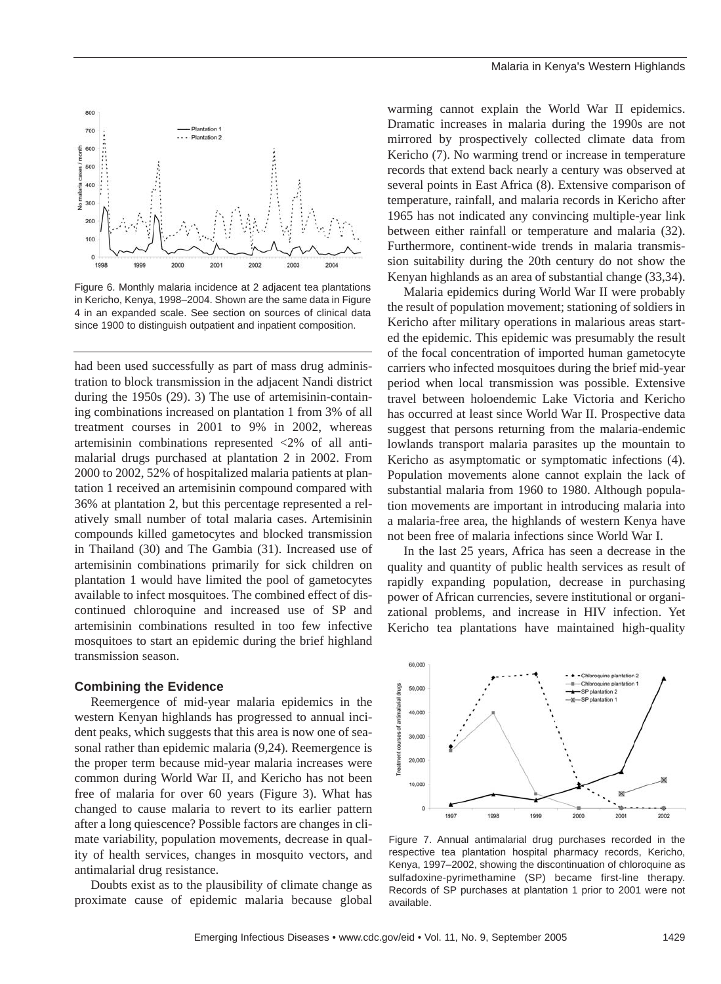

Figure 6. Monthly malaria incidence at 2 adjacent tea plantations in Kericho, Kenya, 1998–2004. Shown are the same data in Figure 4 in an expanded scale. See section on sources of clinical data since 1900 to distinguish outpatient and inpatient composition.

had been used successfully as part of mass drug administration to block transmission in the adjacent Nandi district during the 1950s (29). 3) The use of artemisinin-containing combinations increased on plantation 1 from 3% of all treatment courses in 2001 to 9% in 2002, whereas artemisinin combinations represented <2% of all antimalarial drugs purchased at plantation 2 in 2002. From 2000 to 2002, 52% of hospitalized malaria patients at plantation 1 received an artemisinin compound compared with 36% at plantation 2, but this percentage represented a relatively small number of total malaria cases. Artemisinin compounds killed gametocytes and blocked transmission in Thailand (30) and The Gambia (31). Increased use of artemisinin combinations primarily for sick children on plantation 1 would have limited the pool of gametocytes available to infect mosquitoes. The combined effect of discontinued chloroquine and increased use of SP and artemisinin combinations resulted in too few infective mosquitoes to start an epidemic during the brief highland transmission season.

## **Combining the Evidence**

Reemergence of mid-year malaria epidemics in the western Kenyan highlands has progressed to annual incident peaks, which suggests that this area is now one of seasonal rather than epidemic malaria (9,24). Reemergence is the proper term because mid-year malaria increases were common during World War II, and Kericho has not been free of malaria for over 60 years (Figure 3). What has changed to cause malaria to revert to its earlier pattern after a long quiescence? Possible factors are changes in climate variability, population movements, decrease in quality of health services, changes in mosquito vectors, and antimalarial drug resistance.

Doubts exist as to the plausibility of climate change as proximate cause of epidemic malaria because global warming cannot explain the World War II epidemics. Dramatic increases in malaria during the 1990s are not mirrored by prospectively collected climate data from Kericho (7). No warming trend or increase in temperature records that extend back nearly a century was observed at several points in East Africa (8). Extensive comparison of temperature, rainfall, and malaria records in Kericho after 1965 has not indicated any convincing multiple-year link between either rainfall or temperature and malaria (32). Furthermore, continent-wide trends in malaria transmission suitability during the 20th century do not show the Kenyan highlands as an area of substantial change (33,34).

Malaria epidemics during World War II were probably the result of population movement; stationing of soldiers in Kericho after military operations in malarious areas started the epidemic. This epidemic was presumably the result of the focal concentration of imported human gametocyte carriers who infected mosquitoes during the brief mid-year period when local transmission was possible. Extensive travel between holoendemic Lake Victoria and Kericho has occurred at least since World War II. Prospective data suggest that persons returning from the malaria-endemic lowlands transport malaria parasites up the mountain to Kericho as asymptomatic or symptomatic infections (4). Population movements alone cannot explain the lack of substantial malaria from 1960 to 1980. Although population movements are important in introducing malaria into a malaria-free area, the highlands of western Kenya have not been free of malaria infections since World War I.

In the last 25 years, Africa has seen a decrease in the quality and quantity of public health services as result of rapidly expanding population, decrease in purchasing power of African currencies, severe institutional or organizational problems, and increase in HIV infection. Yet Kericho tea plantations have maintained high-quality



Figure 7. Annual antimalarial drug purchases recorded in the respective tea plantation hospital pharmacy records, Kericho, Kenya, 1997–2002, showing the discontinuation of chloroquine as sulfadoxine-pyrimethamine (SP) became first-line therapy. Records of SP purchases at plantation 1 prior to 2001 were not available.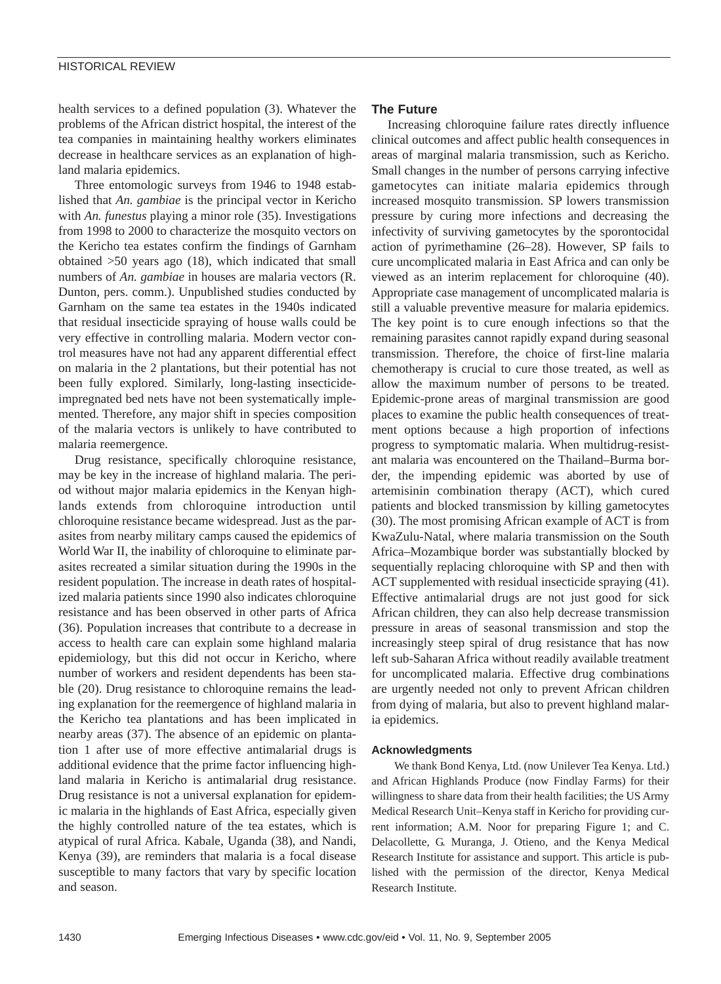health services to a defined population (3). Whatever the problems of the African district hospital, the interest of the tea companies in maintaining healthy workers eliminates decrease in healthcare services as an explanation of highland malaria epidemics.

Three entomologic surveys from 1946 to 1948 established that *An. gambiae* is the principal vector in Kericho with *An. funestus* playing a minor role (35). Investigations from 1998 to 2000 to characterize the mosquito vectors on the Kericho tea estates confirm the findings of Garnham obtained >50 years ago (18), which indicated that small numbers of *An. gambiae* in houses are malaria vectors (R. Dunton, pers. comm.). Unpublished studies conducted by Garnham on the same tea estates in the 1940s indicated that residual insecticide spraying of house walls could be very effective in controlling malaria. Modern vector control measures have not had any apparent differential effect on malaria in the 2 plantations, but their potential has not been fully explored. Similarly, long-lasting insecticideimpregnated bed nets have not been systematically implemented. Therefore, any major shift in species composition of the malaria vectors is unlikely to have contributed to malaria reemergence.

Drug resistance, specifically chloroquine resistance, may be key in the increase of highland malaria. The period without major malaria epidemics in the Kenyan highlands extends from chloroquine introduction until chloroquine resistance became widespread. Just as the parasites from nearby military camps caused the epidemics of World War II, the inability of chloroquine to eliminate parasites recreated a similar situation during the 1990s in the resident population. The increase in death rates of hospitalized malaria patients since 1990 also indicates chloroquine resistance and has been observed in other parts of Africa (36). Population increases that contribute to a decrease in access to health care can explain some highland malaria epidemiology, but this did not occur in Kericho, where number of workers and resident dependents has been stable (20). Drug resistance to chloroquine remains the leading explanation for the reemergence of highland malaria in the Kericho tea plantations and has been implicated in nearby areas (37). The absence of an epidemic on plantation 1 after use of more effective antimalarial drugs is additional evidence that the prime factor influencing highland malaria in Kericho is antimalarial drug resistance. Drug resistance is not a universal explanation for epidemic malaria in the highlands of East Africa, especially given the highly controlled nature of the tea estates, which is atypical of rural Africa. Kabale, Uganda (38), and Nandi, Kenya (39), are reminders that malaria is a focal disease susceptible to many factors that vary by specific location and season.

# **The Future**

Increasing chloroquine failure rates directly influence clinical outcomes and affect public health consequences in areas of marginal malaria transmission, such as Kericho. Small changes in the number of persons carrying infective gametocytes can initiate malaria epidemics through increased mosquito transmission. SP lowers transmission pressure by curing more infections and decreasing the infectivity of surviving gametocytes by the sporontocidal action of pyrimethamine (26–28). However, SP fails to cure uncomplicated malaria in East Africa and can only be viewed as an interim replacement for chloroquine (40). Appropriate case management of uncomplicated malaria is still a valuable preventive measure for malaria epidemics. The key point is to cure enough infections so that the remaining parasites cannot rapidly expand during seasonal transmission. Therefore, the choice of first-line malaria chemotherapy is crucial to cure those treated, as well as allow the maximum number of persons to be treated. Epidemic-prone areas of marginal transmission are good places to examine the public health consequences of treatment options because a high proportion of infections progress to symptomatic malaria. When multidrug-resistant malaria was encountered on the Thailand–Burma border, the impending epidemic was aborted by use of artemisinin combination therapy (ACT), which cured patients and blocked transmission by killing gametocytes (30). The most promising African example of ACT is from KwaZulu-Natal, where malaria transmission on the South Africa–Mozambique border was substantially blocked by sequentially replacing chloroquine with SP and then with ACT supplemented with residual insecticide spraying (41). Effective antimalarial drugs are not just good for sick African children, they can also help decrease transmission pressure in areas of seasonal transmission and stop the increasingly steep spiral of drug resistance that has now left sub-Saharan Africa without readily available treatment for uncomplicated malaria. Effective drug combinations are urgently needed not only to prevent African children from dying of malaria, but also to prevent highland malaria epidemics.

## **Acknowledgments**

We thank Bond Kenya, Ltd. (now Unilever Tea Kenya. Ltd.) and African Highlands Produce (now Findlay Farms) for their willingness to share data from their health facilities; the US Army Medical Research Unit–Kenya staff in Kericho for providing current information; A.M. Noor for preparing Figure 1; and C. Delacollette, G. Muranga, J. Otieno, and the Kenya Medical Research Institute for assistance and support. This article is published with the permission of the director, Kenya Medical Research Institute.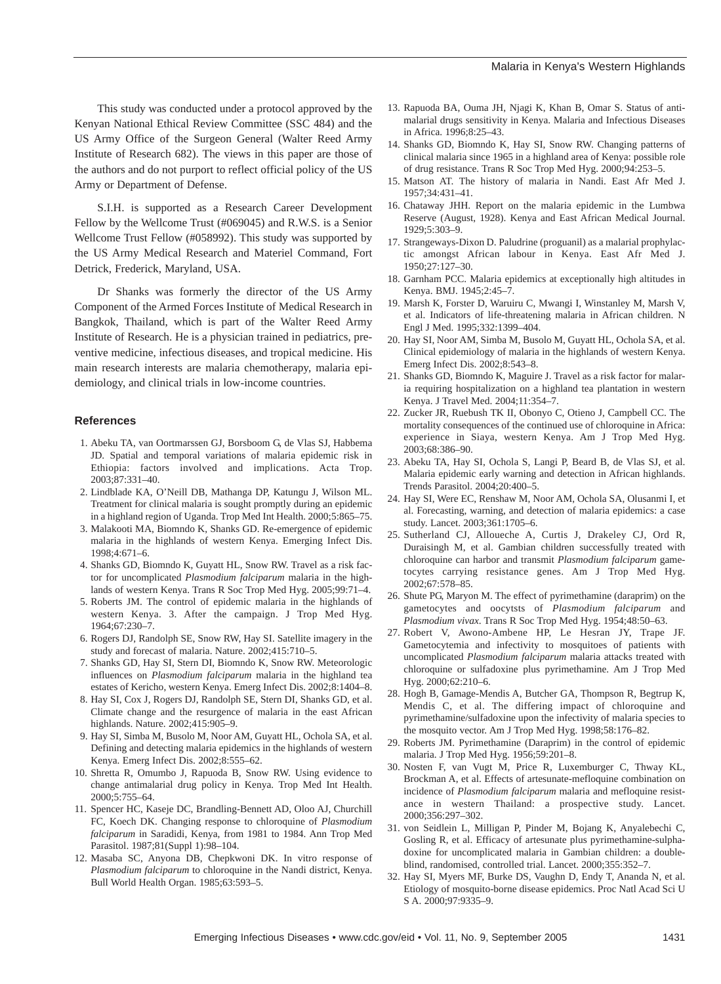This study was conducted under a protocol approved by the Kenyan National Ethical Review Committee (SSC 484) and the US Army Office of the Surgeon General (Walter Reed Army Institute of Research 682). The views in this paper are those of the authors and do not purport to reflect official policy of the US Army or Department of Defense.

S.I.H. is supported as a Research Career Development Fellow by the Wellcome Trust (#069045) and R.W.S. is a Senior Wellcome Trust Fellow (#058992). This study was supported by the US Army Medical Research and Materiel Command, Fort Detrick, Frederick, Maryland, USA.

Dr Shanks was formerly the director of the US Army Component of the Armed Forces Institute of Medical Research in Bangkok, Thailand, which is part of the Walter Reed Army Institute of Research. He is a physician trained in pediatrics, preventive medicine, infectious diseases, and tropical medicine. His main research interests are malaria chemotherapy, malaria epidemiology, and clinical trials in low-income countries.

#### **References**

- 1. Abeku TA, van Oortmarssen GJ, Borsboom G, de Vlas SJ, Habbema JD. Spatial and temporal variations of malaria epidemic risk in Ethiopia: factors involved and implications. Acta Trop. 2003;87:331–40.
- 2. Lindblade KA, O'Neill DB, Mathanga DP, Katungu J, Wilson ML. Treatment for clinical malaria is sought promptly during an epidemic in a highland region of Uganda. Trop Med Int Health. 2000;5:865–75.
- 3. Malakooti MA, Biomndo K, Shanks GD. Re-emergence of epidemic malaria in the highlands of western Kenya. Emerging Infect Dis. 1998;4:671–6.
- 4. Shanks GD, Biomndo K, Guyatt HL, Snow RW. Travel as a risk factor for uncomplicated *Plasmodium falciparum* malaria in the highlands of western Kenya. Trans R Soc Trop Med Hyg. 2005;99:71–4.
- 5. Roberts JM. The control of epidemic malaria in the highlands of western Kenya. 3. After the campaign. J Trop Med Hyg. 1964;67:230–7.
- 6. Rogers DJ, Randolph SE, Snow RW, Hay SI. Satellite imagery in the study and forecast of malaria. Nature. 2002;415:710–5.
- 7. Shanks GD, Hay SI, Stern DI, Biomndo K, Snow RW. Meteorologic influences on *Plasmodium falciparum* malaria in the highland tea estates of Kericho, western Kenya. Emerg Infect Dis. 2002;8:1404–8.
- 8. Hay SI, Cox J, Rogers DJ, Randolph SE, Stern DI, Shanks GD, et al. Climate change and the resurgence of malaria in the east African highlands. Nature. 2002;415:905–9.
- 9. Hay SI, Simba M, Busolo M, Noor AM, Guyatt HL, Ochola SA, et al. Defining and detecting malaria epidemics in the highlands of western Kenya. Emerg Infect Dis. 2002;8:555–62.
- 10. Shretta R, Omumbo J, Rapuoda B, Snow RW. Using evidence to change antimalarial drug policy in Kenya. Trop Med Int Health. 2000;5:755–64.
- 11. Spencer HC, Kaseje DC, Brandling-Bennett AD, Oloo AJ, Churchill FC, Koech DK. Changing response to chloroquine of *Plasmodium falciparum* in Saradidi, Kenya, from 1981 to 1984. Ann Trop Med Parasitol. 1987;81(Suppl 1):98–104.
- 12. Masaba SC, Anyona DB, Chepkwoni DK. In vitro response of *Plasmodium falciparum* to chloroquine in the Nandi district, Kenya. Bull World Health Organ. 1985;63:593–5.
- 13. Rapuoda BA, Ouma JH, Njagi K, Khan B, Omar S. Status of antimalarial drugs sensitivity in Kenya. Malaria and Infectious Diseases in Africa. 1996;8:25–43.
- 14. Shanks GD, Biomndo K, Hay SI, Snow RW. Changing patterns of clinical malaria since 1965 in a highland area of Kenya: possible role of drug resistance. Trans R Soc Trop Med Hyg. 2000;94:253–5.
- 15. Matson AT. The history of malaria in Nandi. East Afr Med J. 1957;34:431–41.
- 16. Chataway JHH. Report on the malaria epidemic in the Lumbwa Reserve (August, 1928). Kenya and East African Medical Journal. 1929;5:303–9.
- 17. Strangeways-Dixon D. Paludrine (proguanil) as a malarial prophylactic amongst African labour in Kenya. East Afr Med J. 1950;27:127–30.
- 18. Garnham PCC. Malaria epidemics at exceptionally high altitudes in Kenya. BMJ. 1945;2:45–7.
- 19. Marsh K, Forster D, Waruiru C, Mwangi I, Winstanley M, Marsh V, et al. Indicators of life-threatening malaria in African children. N Engl J Med. 1995;332:1399–404.
- 20. Hay SI, Noor AM, Simba M, Busolo M, Guyatt HL, Ochola SA, et al. Clinical epidemiology of malaria in the highlands of western Kenya. Emerg Infect Dis. 2002;8:543–8.
- 21. Shanks GD, Biomndo K, Maguire J. Travel as a risk factor for malaria requiring hospitalization on a highland tea plantation in western Kenya. J Travel Med. 2004;11:354–7.
- 22. Zucker JR, Ruebush TK II, Obonyo C, Otieno J, Campbell CC. The mortality consequences of the continued use of chloroquine in Africa: experience in Siaya, western Kenya. Am J Trop Med Hyg. 2003;68:386–90.
- 23. Abeku TA, Hay SI, Ochola S, Langi P, Beard B, de Vlas SJ, et al. Malaria epidemic early warning and detection in African highlands. Trends Parasitol. 2004;20:400–5.
- 24. Hay SI, Were EC, Renshaw M, Noor AM, Ochola SA, Olusanmi I, et al. Forecasting, warning, and detection of malaria epidemics: a case study. Lancet. 2003;361:1705–6.
- 25. Sutherland CJ, Alloueche A, Curtis J, Drakeley CJ, Ord R, Duraisingh M, et al. Gambian children successfully treated with chloroquine can harbor and transmit *Plasmodium falciparum* gametocytes carrying resistance genes. Am J Trop Med Hyg. 2002;67:578–85.
- 26. Shute PG, Maryon M. The effect of pyrimethamine (daraprim) on the gametocytes and oocytsts of *Plasmodium falciparum* and *Plasmodium vivax*. Trans R Soc Trop Med Hyg. 1954;48:50–63.
- 27. Robert V, Awono-Ambene HP, Le Hesran JY, Trape JF. Gametocytemia and infectivity to mosquitoes of patients with uncomplicated *Plasmodium falciparum* malaria attacks treated with chloroquine or sulfadoxine plus pyrimethamine. Am J Trop Med Hyg. 2000;62:210–6.
- 28. Hogh B, Gamage-Mendis A, Butcher GA, Thompson R, Begtrup K, Mendis C, et al. The differing impact of chloroquine and pyrimethamine/sulfadoxine upon the infectivity of malaria species to the mosquito vector. Am J Trop Med Hyg. 1998;58:176–82.
- 29. Roberts JM. Pyrimethamine (Daraprim) in the control of epidemic malaria. J Trop Med Hyg. 1956;59:201–8.
- 30. Nosten F, van Vugt M, Price R, Luxemburger C, Thway KL, Brockman A, et al. Effects of artesunate-mefloquine combination on incidence of *Plasmodium falciparum* malaria and mefloquine resistance in western Thailand: a prospective study. Lancet. 2000;356:297–302.
- 31. von Seidlein L, Milligan P, Pinder M, Bojang K, Anyalebechi C, Gosling R, et al. Efficacy of artesunate plus pyrimethamine-sulphadoxine for uncomplicated malaria in Gambian children: a doubleblind, randomised, controlled trial. Lancet. 2000;355:352–7.
- 32. Hay SI, Myers MF, Burke DS, Vaughn D, Endy T, Ananda N, et al. Etiology of mosquito-borne disease epidemics. Proc Natl Acad Sci U S A. 2000;97:9335–9.